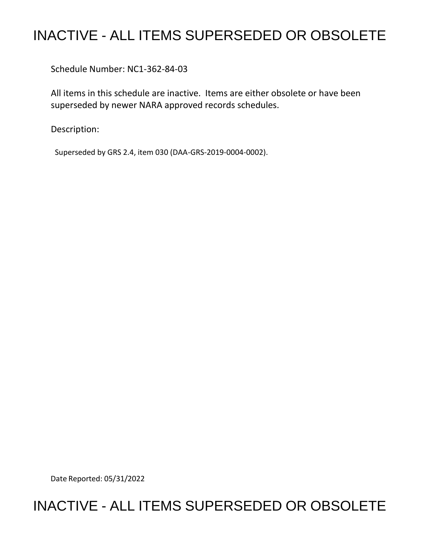## INACTIVE - ALL ITEMS SUPERSEDED OR OBSOLETE

Schedule Number: NC1-362-84-03

 All items in this schedule are inactive. Items are either obsolete or have been superseded by newer NARA approved records schedules.

Description:

Superseded by GRS 2.4, item 030 (DAA-GRS-2019-0004-0002).

Date Reported: 05/31/2022

## INACTIVE - ALL ITEMS SUPERSEDED OR OBSOLETE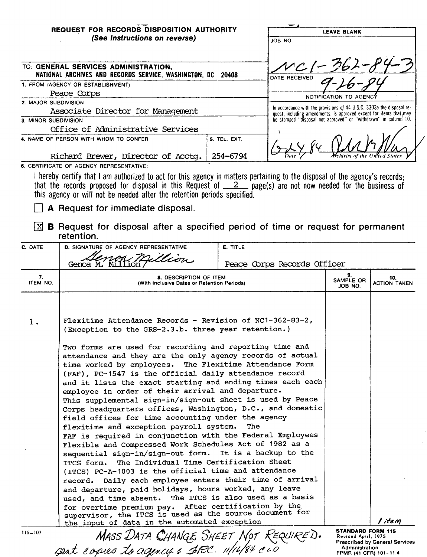| <b>REQUEST FOR RECORDS DISPOSITION AUTHORITY</b><br>(See Instructions on reverse)                                                                                                                                                                                                                                              |              | <b>LEAVE BLANK</b><br>JOB NO.                                                                                                                |
|--------------------------------------------------------------------------------------------------------------------------------------------------------------------------------------------------------------------------------------------------------------------------------------------------------------------------------|--------------|----------------------------------------------------------------------------------------------------------------------------------------------|
| TO: GENERAL SERVICES ADMINISTRATION,<br>NATIONAL ARCHIVES AND RECORDS SERVICE, WASHINGTON, DC 20408                                                                                                                                                                                                                            |              | $121 - 362 - 19$<br>DATE RECEIVED                                                                                                            |
| 1. FROM (AGENCY OR ESTABLISHMENT)                                                                                                                                                                                                                                                                                              |              |                                                                                                                                              |
| Peace Corps                                                                                                                                                                                                                                                                                                                    |              | NOTIFICATION TO AGENCY                                                                                                                       |
| 2. MAJOR SUBDIVISION                                                                                                                                                                                                                                                                                                           |              |                                                                                                                                              |
| Associate Director for Management                                                                                                                                                                                                                                                                                              |              | In accordance with the provisions of 44 U.S.C. 3303a the disposal re-<br>quest, including amendments, is approved except for items that, may |
| 3. MINOR SUBDIVISION                                                                                                                                                                                                                                                                                                           |              | be stamped "disposal not approved" or "withdrawn" in column 10.                                                                              |
| Office of Administrative Services                                                                                                                                                                                                                                                                                              |              |                                                                                                                                              |
| 4. NAME OF PERSON WITH WHOM TO CONFER                                                                                                                                                                                                                                                                                          | 5. TEL. EXT. |                                                                                                                                              |
| Richard Brewer, Director of Acctq.                                                                                                                                                                                                                                                                                             | 254-6794     | <b>M</b> ehivist of the United                                                                                                               |
| 6. CERTIFICATE OF AGENCY REPRESENTATIVE:                                                                                                                                                                                                                                                                                       |              |                                                                                                                                              |
| ! hereby certify that I am authorized to act for this agency in matters pertaining to the disposal of the agency's records;<br>that the records proposed for disposal in this Request of $\angle$ 2 page(s) are not now needed for the business of<br>this agency or will not be needed after the retention periods specified. |              |                                                                                                                                              |

— .

D **A Request for immediate disposal.** 

|                | $\boxtimes$ B Request for disposal after a specified period of time or request for permanent<br>retention.                                                                                                                                                                                                                                                                                                                                                                                                                                                                                                                                                                                                                                                                                                                                                                                                                                                                                                                                                                                                                                                                                      |                             |                                                                 |                                       |  |
|----------------|-------------------------------------------------------------------------------------------------------------------------------------------------------------------------------------------------------------------------------------------------------------------------------------------------------------------------------------------------------------------------------------------------------------------------------------------------------------------------------------------------------------------------------------------------------------------------------------------------------------------------------------------------------------------------------------------------------------------------------------------------------------------------------------------------------------------------------------------------------------------------------------------------------------------------------------------------------------------------------------------------------------------------------------------------------------------------------------------------------------------------------------------------------------------------------------------------|-----------------------------|-----------------------------------------------------------------|---------------------------------------|--|
| C. DATE        | <b>D. SIGNATURE OF AGENCY REPRESENTATIVE</b>                                                                                                                                                                                                                                                                                                                                                                                                                                                                                                                                                                                                                                                                                                                                                                                                                                                                                                                                                                                                                                                                                                                                                    | E. TITLE                    |                                                                 |                                       |  |
|                | million<br>Genoa M. Million                                                                                                                                                                                                                                                                                                                                                                                                                                                                                                                                                                                                                                                                                                                                                                                                                                                                                                                                                                                                                                                                                                                                                                     | Peace Corps Records Officer |                                                                 |                                       |  |
| 7.<br>ITEM NO. | <b>8. DESCRIPTION OF ITEM</b><br>(With Inclusive Dates or Retention Periods)                                                                                                                                                                                                                                                                                                                                                                                                                                                                                                                                                                                                                                                                                                                                                                                                                                                                                                                                                                                                                                                                                                                    |                             | 9.<br>SAMPLE OR<br>JOB NO.                                      | 10.<br><b>ACTION TAKEN</b>            |  |
| $1$ .          | Flexitime Attendance Records - Revision of NC1-362-83-2,<br>(Exception to the GRS-2.3.b. three year retention.)                                                                                                                                                                                                                                                                                                                                                                                                                                                                                                                                                                                                                                                                                                                                                                                                                                                                                                                                                                                                                                                                                 |                             |                                                                 |                                       |  |
|                | Two forms are used for recording and reporting time and<br>attendance and they are the only agency records of actual<br>time worked by employees. The Flexitime Attendance Form<br>(FAF), PC-1547 is the official daily attendance record<br>and it lists the exact starting and ending times each each<br>employee in order of their arrival and departure.<br>This supplemental sign-in/sign-out sheet is used by Peace<br>Corps headquarters offices, Washington, D.C., and domestic<br>field offices for time accounting under the agency<br>flexitime and exception payroll system.<br>FAF is required in conjunction with the Federal Employees<br>Flexible and Compressed Work Schedules Act of 1982 as a<br>sequential sign-in/sign-out form. It is a backup to the<br>The Individual Time Certification Sheet<br>ITCS form.<br>(ITCS) PC-A-1003 is the official time and attendance<br>record. Daily each employee enters their time of arrival<br>and departure, paid holidays, hours worked, any leave<br>used, and time absent. The ITCS is also used as a basis<br>for overtime premium pay. After certification by the<br>supervisor, the ITCS is used as the source document for |                             |                                                                 |                                       |  |
|                | the input of data in the automated exception                                                                                                                                                                                                                                                                                                                                                                                                                                                                                                                                                                                                                                                                                                                                                                                                                                                                                                                                                                                                                                                                                                                                                    |                             | <b>STANDARD FORM 115</b>                                        | I item                                |  |
| $115 - 107$    | MASS DATA CHANGE SHEET NOT REQUIRED.<br>2011 Copies 10 agency & SEC. 11/14/84 CLD                                                                                                                                                                                                                                                                                                                                                                                                                                                                                                                                                                                                                                                                                                                                                                                                                                                                                                                                                                                                                                                                                                               |                             | Revised April, 1975<br>Administration<br>FPMR (41 CFR) 101-11.4 | <b>Prescribed by General Services</b> |  |